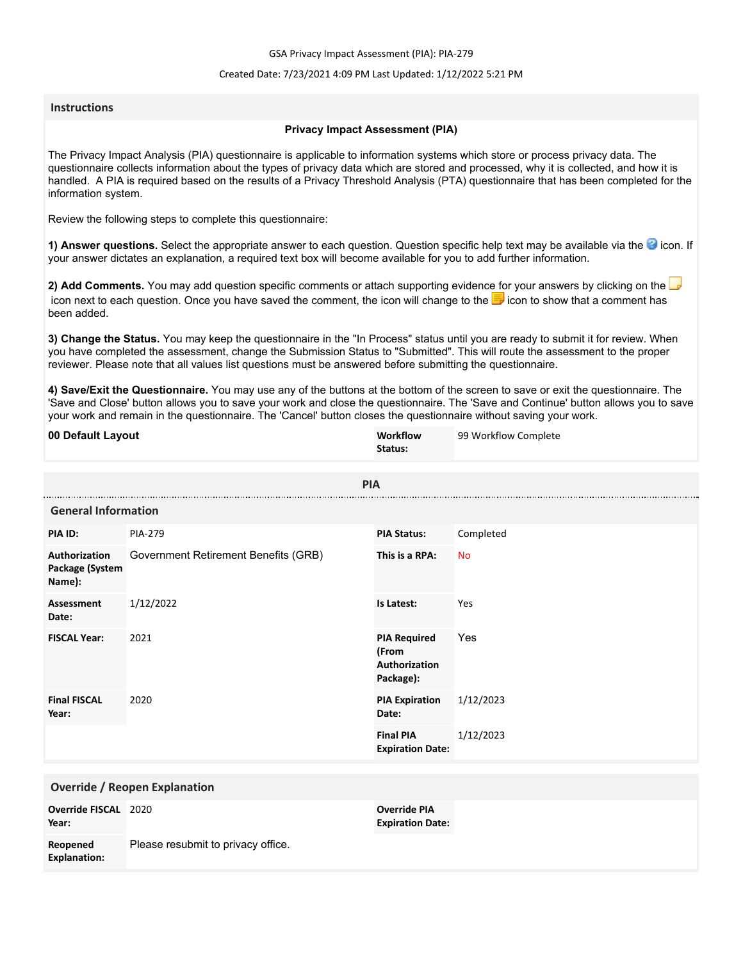GSA Privacy Impact Assessment (PIA): PIA-279

## Created Date: 7/23/2021 4:09 PM Last Updated: 1/12/2022 5:21 PM

## **Instructions**

## **Privacy Impact Assessment (PIA)**

The Privacy Impact Analysis (PIA) questionnaire is applicable to information systems which store or process privacy data. The questionnaire collects information about the types of privacy data which are stored and processed, why it is collected, and how it is handled. A PIA is required based on the results of a Privacy Threshold Analysis (PTA) questionnaire that has been completed for the information system.

Review the following steps to complete this questionnaire:

1) Answer questions. Select the appropriate answer to each question. Question specific help text may be available via the <sup>3</sup> icon. If your answer dictates an explanation, a required text box will become available for you to add further information.

**2) Add Comments.** You may add question specific comments or attach supporting evidence for your answers by clicking on the icon next to each question. Once you have saved the comment, the icon will change to the ighthroother is a comment has been added.

**3) Change the Status.** You may keep the questionnaire in the "In Process" status until you are ready to submit it for review. When you have completed the assessment, change the Submission Status to "Submitted". This will route the assessment to the proper reviewer. Please note that all values list questions must be answered before submitting the questionnaire.

**4) Save/Exit the Questionnaire.** You may use any of the buttons at the bottom of the screen to save or exit the questionnaire. The 'Save and Close' button allows you to save your work and close the questionnaire. The 'Save and Continue' button allows you to save your work and remain in the questionnaire. The 'Cancel' button closes the questionnaire without saving your work.

| 00 Default Layout                          |                                      | <b>Workflow</b><br>Status:                                 | 99 Workflow Complete |
|--------------------------------------------|--------------------------------------|------------------------------------------------------------|----------------------|
| <b>PIA</b>                                 |                                      |                                                            |                      |
| <b>General Information</b>                 |                                      |                                                            |                      |
| PIA ID:                                    | <b>PIA-279</b>                       | <b>PIA Status:</b>                                         | Completed            |
| Authorization<br>Package (System<br>Name): | Government Retirement Benefits (GRB) | This is a RPA:                                             | <b>No</b>            |
| <b>Assessment</b><br>Date:                 | 1/12/2022                            | Is Latest:                                                 | Yes                  |
| <b>FISCAL Year:</b>                        | 2021                                 | <b>PIA Required</b><br>(From<br>Authorization<br>Package): | Yes                  |
| <b>Final FISCAL</b><br>Year:               | 2020                                 | <b>PIA Expiration</b><br>Date:                             | 1/12/2023            |
|                                            |                                      | <b>Final PIA</b><br><b>Expiration Date:</b>                | 1/12/2023            |
| <b>Override / Reopen Explanation</b>       |                                      |                                                            |                      |
| Override FISCAL 2020<br>Year:              |                                      | <b>Override PIA</b><br><b>Expiration Date:</b>             |                      |
| Reopened<br><b>Explanation:</b>            | Please resubmit to privacy office.   |                                                            |                      |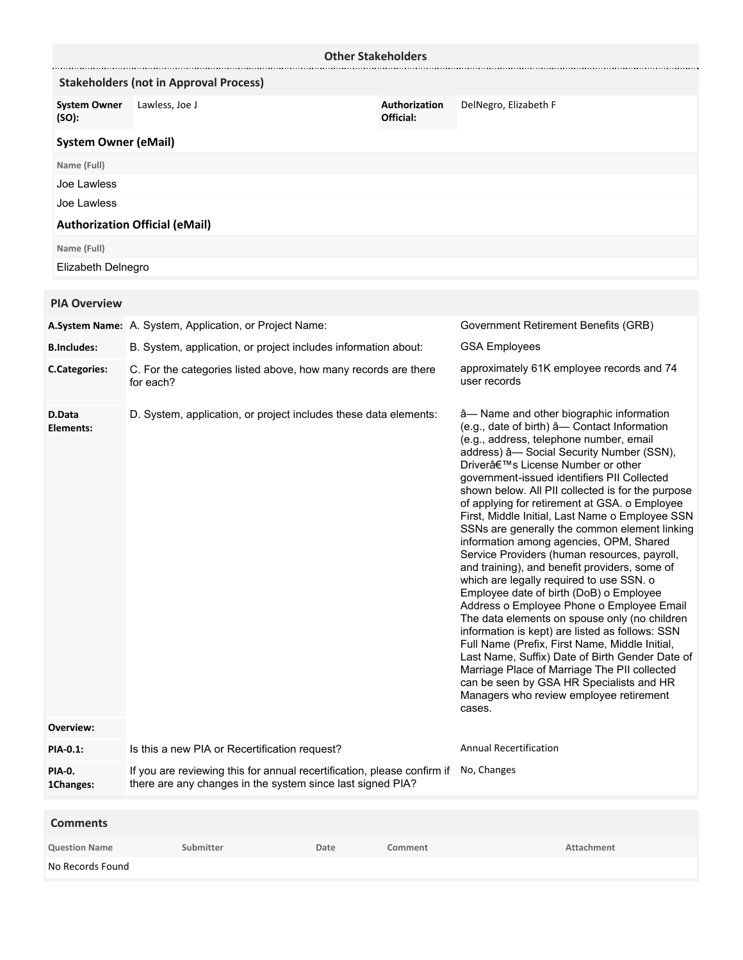|                                  | <b>Other Stakeholders</b>                                                                                                             |                            |                                                                                                                                                                                                                                                                                                                                                                                                                                                                                                                                                                                                                                                                                                                                                                                                                                                                                                                                                                                                                                                                                                                        |
|----------------------------------|---------------------------------------------------------------------------------------------------------------------------------------|----------------------------|------------------------------------------------------------------------------------------------------------------------------------------------------------------------------------------------------------------------------------------------------------------------------------------------------------------------------------------------------------------------------------------------------------------------------------------------------------------------------------------------------------------------------------------------------------------------------------------------------------------------------------------------------------------------------------------------------------------------------------------------------------------------------------------------------------------------------------------------------------------------------------------------------------------------------------------------------------------------------------------------------------------------------------------------------------------------------------------------------------------------|
|                                  | <b>Stakeholders (not in Approval Process)</b>                                                                                         |                            |                                                                                                                                                                                                                                                                                                                                                                                                                                                                                                                                                                                                                                                                                                                                                                                                                                                                                                                                                                                                                                                                                                                        |
| <b>System Owner</b><br>(SO):     | Lawless, Joe J                                                                                                                        | Authorization<br>Official: | DelNegro, Elizabeth F                                                                                                                                                                                                                                                                                                                                                                                                                                                                                                                                                                                                                                                                                                                                                                                                                                                                                                                                                                                                                                                                                                  |
| <b>System Owner (eMail)</b>      |                                                                                                                                       |                            |                                                                                                                                                                                                                                                                                                                                                                                                                                                                                                                                                                                                                                                                                                                                                                                                                                                                                                                                                                                                                                                                                                                        |
| Name (Full)                      |                                                                                                                                       |                            |                                                                                                                                                                                                                                                                                                                                                                                                                                                                                                                                                                                                                                                                                                                                                                                                                                                                                                                                                                                                                                                                                                                        |
| Joe Lawless                      |                                                                                                                                       |                            |                                                                                                                                                                                                                                                                                                                                                                                                                                                                                                                                                                                                                                                                                                                                                                                                                                                                                                                                                                                                                                                                                                                        |
| Joe Lawless                      |                                                                                                                                       |                            |                                                                                                                                                                                                                                                                                                                                                                                                                                                                                                                                                                                                                                                                                                                                                                                                                                                                                                                                                                                                                                                                                                                        |
|                                  | <b>Authorization Official (eMail)</b>                                                                                                 |                            |                                                                                                                                                                                                                                                                                                                                                                                                                                                                                                                                                                                                                                                                                                                                                                                                                                                                                                                                                                                                                                                                                                                        |
| Name (Full)                      |                                                                                                                                       |                            |                                                                                                                                                                                                                                                                                                                                                                                                                                                                                                                                                                                                                                                                                                                                                                                                                                                                                                                                                                                                                                                                                                                        |
| Elizabeth Delnegro               |                                                                                                                                       |                            |                                                                                                                                                                                                                                                                                                                                                                                                                                                                                                                                                                                                                                                                                                                                                                                                                                                                                                                                                                                                                                                                                                                        |
| <b>PIA Overview</b>              |                                                                                                                                       |                            |                                                                                                                                                                                                                                                                                                                                                                                                                                                                                                                                                                                                                                                                                                                                                                                                                                                                                                                                                                                                                                                                                                                        |
|                                  | A.System Name: A. System, Application, or Project Name:                                                                               |                            | Government Retirement Benefits (GRB)                                                                                                                                                                                                                                                                                                                                                                                                                                                                                                                                                                                                                                                                                                                                                                                                                                                                                                                                                                                                                                                                                   |
| <b>B.Includes:</b>               | B. System, application, or project includes information about:                                                                        |                            | <b>GSA Employees</b>                                                                                                                                                                                                                                                                                                                                                                                                                                                                                                                                                                                                                                                                                                                                                                                                                                                                                                                                                                                                                                                                                                   |
| <b>C.Categories:</b>             | C. For the categories listed above, how many records are there<br>for each?                                                           |                            | approximately 61K employee records and 74<br>user records                                                                                                                                                                                                                                                                                                                                                                                                                                                                                                                                                                                                                                                                                                                                                                                                                                                                                                                                                                                                                                                              |
| D.Data<br>Elements:<br>Overview: | D. System, application, or project includes these data elements:                                                                      |                            | â-Name and other biographic information<br>(e.g., date of birth) â- Contact Information<br>(e.g., address, telephone number, email<br>address) â- Social Security Number (SSN),<br>Driver's License Number or other<br>government-issued identifiers PII Collected<br>shown below. All PII collected is for the purpose<br>of applying for retirement at GSA. o Employee<br>First, Middle Initial, Last Name o Employee SSN<br>SSNs are generally the common element linking<br>information among agencies, OPM, Shared<br>Service Providers (human resources, payroll,<br>and training), and benefit providers, some of<br>which are legally required to use SSN. o<br>Employee date of birth (DoB) o Employee<br>Address o Employee Phone o Employee Email<br>The data elements on spouse only (no children<br>information is kept) are listed as follows: SSN<br>Full Name (Prefix, First Name, Middle Initial,<br>Last Name, Suffix) Date of Birth Gender Date of<br>Marriage Place of Marriage The PII collected<br>can be seen by GSA HR Specialists and HR<br>Managers who review employee retirement<br>cases. |
| PIA-0.1:                         | Is this a new PIA or Recertification request?                                                                                         |                            | <b>Annual Recertification</b>                                                                                                                                                                                                                                                                                                                                                                                                                                                                                                                                                                                                                                                                                                                                                                                                                                                                                                                                                                                                                                                                                          |
| PIA-0.<br>1Changes:              | If you are reviewing this for annual recertification, please confirm if<br>there are any changes in the system since last signed PIA? |                            | No, Changes                                                                                                                                                                                                                                                                                                                                                                                                                                                                                                                                                                                                                                                                                                                                                                                                                                                                                                                                                                                                                                                                                                            |
| <b>Comments</b>                  |                                                                                                                                       |                            |                                                                                                                                                                                                                                                                                                                                                                                                                                                                                                                                                                                                                                                                                                                                                                                                                                                                                                                                                                                                                                                                                                                        |

**Question Name Submitter Date Comment Attachment**

No Records Found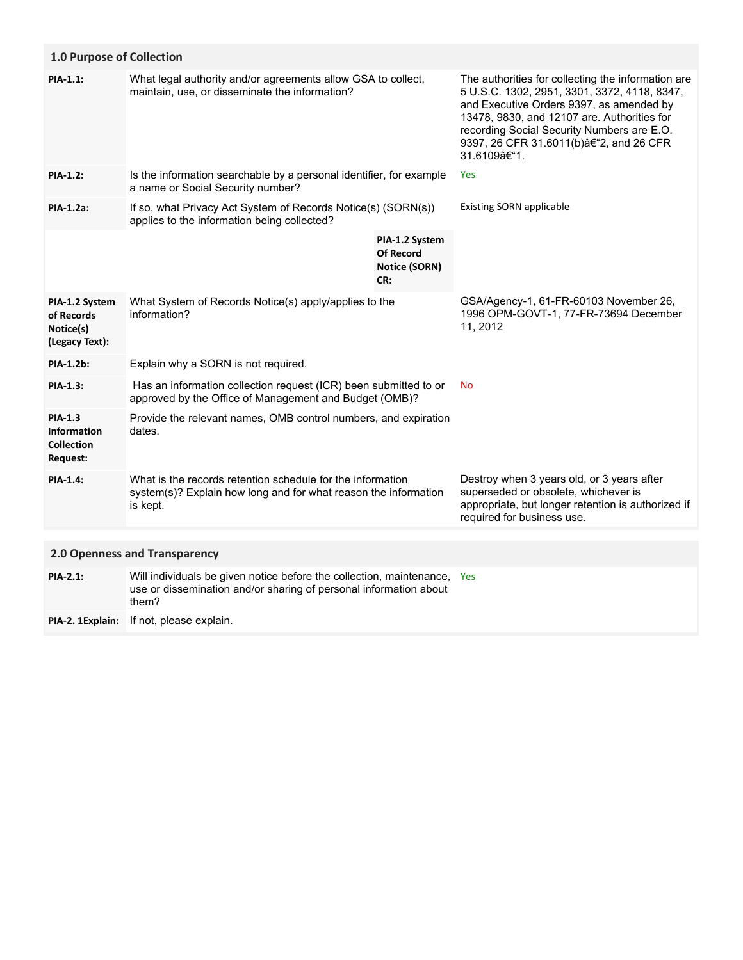| 1.0 Purpose of Collection                                             |                                                                                                                                                    |                                                                   |                                                                                                                                                                                                                                                                                                      |
|-----------------------------------------------------------------------|----------------------------------------------------------------------------------------------------------------------------------------------------|-------------------------------------------------------------------|------------------------------------------------------------------------------------------------------------------------------------------------------------------------------------------------------------------------------------------------------------------------------------------------------|
| PIA-1.1:                                                              | What legal authority and/or agreements allow GSA to collect,<br>maintain, use, or disseminate the information?                                     |                                                                   | The authorities for collecting the information are<br>5 U.S.C. 1302, 2951, 3301, 3372, 4118, 8347,<br>and Executive Orders 9397, as amended by<br>13478, 9830, and 12107 are. Authorities for<br>recording Social Security Numbers are E.O.<br>9397, 26 CFR 31.6011(b)â€"2, and 26 CFR<br>31.6109–1. |
| <b>PIA-1.2:</b>                                                       | Is the information searchable by a personal identifier, for example<br>a name or Social Security number?                                           |                                                                   | Yes                                                                                                                                                                                                                                                                                                  |
| PIA-1.2a:                                                             | If so, what Privacy Act System of Records Notice(s) (SORN(s))<br>applies to the information being collected?                                       |                                                                   | <b>Existing SORN applicable</b>                                                                                                                                                                                                                                                                      |
|                                                                       |                                                                                                                                                    | PIA-1.2 System<br><b>Of Record</b><br><b>Notice (SORN)</b><br>CR: |                                                                                                                                                                                                                                                                                                      |
| PIA-1.2 System<br>of Records<br>Notice(s)<br>(Legacy Text):           | What System of Records Notice(s) apply/applies to the<br>information?                                                                              |                                                                   | GSA/Agency-1, 61-FR-60103 November 26,<br>1996 OPM-GOVT-1, 77-FR-73694 December<br>11, 2012                                                                                                                                                                                                          |
| <b>PIA-1.2b:</b>                                                      | Explain why a SORN is not required.                                                                                                                |                                                                   |                                                                                                                                                                                                                                                                                                      |
| <b>PIA-1.3:</b>                                                       | Has an information collection request (ICR) been submitted to or<br>approved by the Office of Management and Budget (OMB)?                         |                                                                   | <b>No</b>                                                                                                                                                                                                                                                                                            |
| <b>PIA-1.3</b><br><b>Information</b><br><b>Collection</b><br>Request: | Provide the relevant names, OMB control numbers, and expiration<br>dates.                                                                          |                                                                   |                                                                                                                                                                                                                                                                                                      |
| <b>PIA-1.4:</b>                                                       | What is the records retention schedule for the information<br>system(s)? Explain how long and for what reason the information<br>is kept.          |                                                                   | Destroy when 3 years old, or 3 years after<br>superseded or obsolete, whichever is<br>appropriate, but longer retention is authorized if<br>required for business use.                                                                                                                               |
|                                                                       |                                                                                                                                                    |                                                                   |                                                                                                                                                                                                                                                                                                      |
| 2.0 Openness and Transparency                                         |                                                                                                                                                    |                                                                   |                                                                                                                                                                                                                                                                                                      |
| <b>PIA-2.1:</b>                                                       | Will individuals be given notice before the collection, maintenance,<br>use or dissemination and/or sharing of personal information about<br>them? |                                                                   | Yes                                                                                                                                                                                                                                                                                                  |
| PIA-2. 1Explain:                                                      | If not, please explain.                                                                                                                            |                                                                   |                                                                                                                                                                                                                                                                                                      |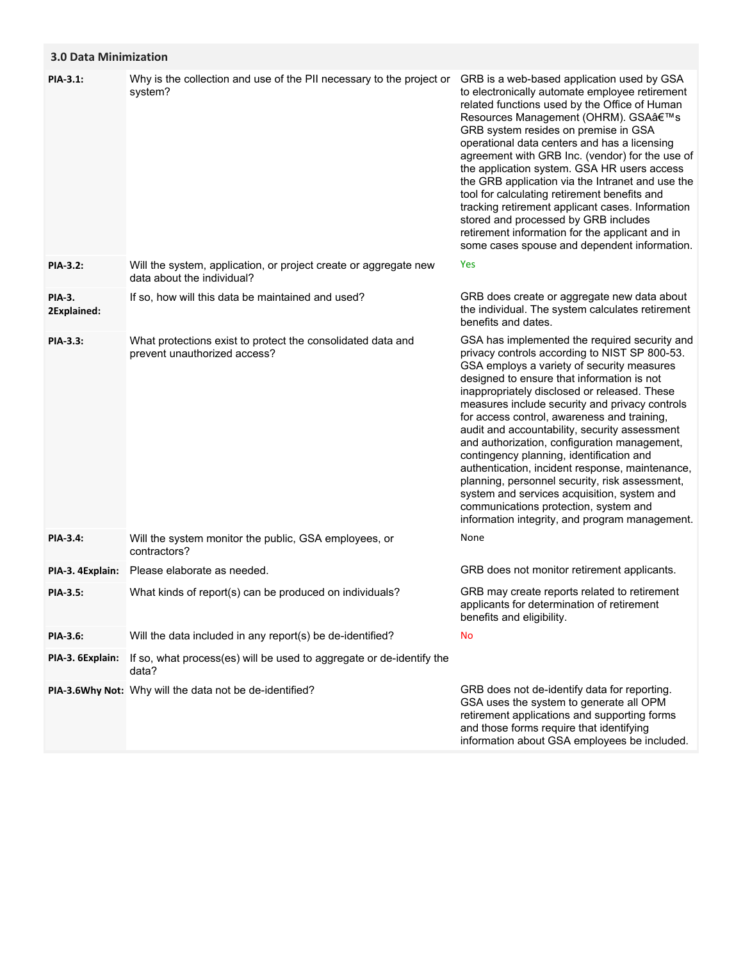## **3.0 Data Minimization**

| PIA-3.1:                     | Why is the collection and use of the PII necessary to the project or<br>system?                | GRB is a web-based application used by GSA<br>to electronically automate employee retirement<br>related functions used by the Office of Human<br>Resources Management (OHRM). GSA's<br>GRB system resides on premise in GSA<br>operational data centers and has a licensing<br>agreement with GRB Inc. (vendor) for the use of<br>the application system. GSA HR users access<br>the GRB application via the Intranet and use the<br>tool for calculating retirement benefits and<br>tracking retirement applicant cases. Information<br>stored and processed by GRB includes<br>retirement information for the applicant and in<br>some cases spouse and dependent information.                                                        |
|------------------------------|------------------------------------------------------------------------------------------------|-----------------------------------------------------------------------------------------------------------------------------------------------------------------------------------------------------------------------------------------------------------------------------------------------------------------------------------------------------------------------------------------------------------------------------------------------------------------------------------------------------------------------------------------------------------------------------------------------------------------------------------------------------------------------------------------------------------------------------------------|
| PIA-3.2:                     | Will the system, application, or project create or aggregate new<br>data about the individual? | Yes                                                                                                                                                                                                                                                                                                                                                                                                                                                                                                                                                                                                                                                                                                                                     |
| <b>PIA-3.</b><br>2Explained: | If so, how will this data be maintained and used?                                              | GRB does create or aggregate new data about<br>the individual. The system calculates retirement<br>benefits and dates.                                                                                                                                                                                                                                                                                                                                                                                                                                                                                                                                                                                                                  |
| PIA-3.3:                     | What protections exist to protect the consolidated data and<br>prevent unauthorized access?    | GSA has implemented the required security and<br>privacy controls according to NIST SP 800-53.<br>GSA employs a variety of security measures<br>designed to ensure that information is not<br>inappropriately disclosed or released. These<br>measures include security and privacy controls<br>for access control, awareness and training,<br>audit and accountability, security assessment<br>and authorization, configuration management,<br>contingency planning, identification and<br>authentication, incident response, maintenance,<br>planning, personnel security, risk assessment,<br>system and services acquisition, system and<br>communications protection, system and<br>information integrity, and program management. |
| PIA-3.4:                     | Will the system monitor the public, GSA employees, or<br>contractors?                          | None                                                                                                                                                                                                                                                                                                                                                                                                                                                                                                                                                                                                                                                                                                                                    |
| PIA-3. 4Explain:             | Please elaborate as needed.                                                                    | GRB does not monitor retirement applicants.                                                                                                                                                                                                                                                                                                                                                                                                                                                                                                                                                                                                                                                                                             |
| <b>PIA-3.5:</b>              | What kinds of report(s) can be produced on individuals?                                        | GRB may create reports related to retirement<br>applicants for determination of retirement<br>benefits and eligibility.                                                                                                                                                                                                                                                                                                                                                                                                                                                                                                                                                                                                                 |
| PIA-3.6:                     | Will the data included in any report(s) be de-identified?                                      | No                                                                                                                                                                                                                                                                                                                                                                                                                                                                                                                                                                                                                                                                                                                                      |
| PIA-3. 6Explain:             | If so, what process(es) will be used to aggregate or de-identify the<br>data?                  |                                                                                                                                                                                                                                                                                                                                                                                                                                                                                                                                                                                                                                                                                                                                         |
|                              | PIA-3.6Why Not: Why will the data not be de-identified?                                        | GRB does not de-identify data for reporting.<br>GSA uses the system to generate all OPM<br>retirement applications and supporting forms<br>and those forms require that identifying<br>information about GSA employees be included.                                                                                                                                                                                                                                                                                                                                                                                                                                                                                                     |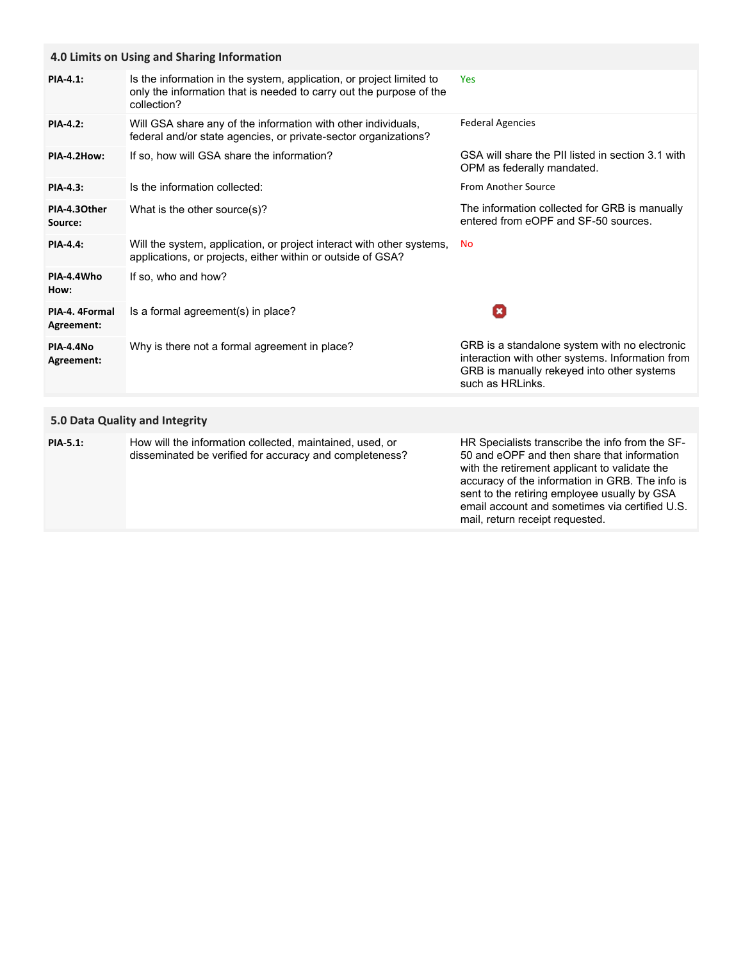| 4.0 Limits on Using and Sharing Information |                                                                                                                                                            |                                                                                                                                                                     |  |
|---------------------------------------------|------------------------------------------------------------------------------------------------------------------------------------------------------------|---------------------------------------------------------------------------------------------------------------------------------------------------------------------|--|
| <b>PIA-4.1:</b>                             | Is the information in the system, application, or project limited to<br>only the information that is needed to carry out the purpose of the<br>collection? | <b>Yes</b>                                                                                                                                                          |  |
| <b>PIA-4.2:</b>                             | Will GSA share any of the information with other individuals,<br>federal and/or state agencies, or private-sector organizations?                           | <b>Federal Agencies</b>                                                                                                                                             |  |
| PIA-4.2How:                                 | If so, how will GSA share the information?                                                                                                                 | GSA will share the PII listed in section 3.1 with<br>OPM as federally mandated.                                                                                     |  |
| <b>PIA-4.3:</b>                             | Is the information collected:                                                                                                                              | From Another Source                                                                                                                                                 |  |
| PIA-4.30ther<br>Source:                     | What is the other source(s)?                                                                                                                               | The information collected for GRB is manually<br>entered from eOPF and SF-50 sources.                                                                               |  |
| <b>PIA-4.4:</b>                             | Will the system, application, or project interact with other systems,<br>applications, or projects, either within or outside of GSA?                       | <b>No</b>                                                                                                                                                           |  |
| PIA-4.4Who<br>How:                          | If so, who and how?                                                                                                                                        |                                                                                                                                                                     |  |
| PIA-4. 4Formal<br>Agreement:                | Is a formal agreement(s) in place?                                                                                                                         | П                                                                                                                                                                   |  |
| PIA-4.4No<br>Agreement:                     | Why is there not a formal agreement in place?                                                                                                              | GRB is a standalone system with no electronic<br>interaction with other systems. Information from<br>GRB is manually rekeyed into other systems<br>such as HRLinks. |  |
|                                             |                                                                                                                                                            |                                                                                                                                                                     |  |

# **5.0 Data Quality and Integrity**

| <b>PIA-5.1:</b> | How will the information collected, maintained, used, or<br>disseminated be verified for accuracy and completeness? | HR Specialists transcribe the info from the SF-<br>50 and eOPF and then share that information<br>with the retirement applicant to validate the<br>accuracy of the information in GRB. The info is<br>sent to the retiring employee usually by GSA<br>email account and sometimes via certified U.S.<br>mail, return receipt requested. |
|-----------------|---------------------------------------------------------------------------------------------------------------------|-----------------------------------------------------------------------------------------------------------------------------------------------------------------------------------------------------------------------------------------------------------------------------------------------------------------------------------------|
|-----------------|---------------------------------------------------------------------------------------------------------------------|-----------------------------------------------------------------------------------------------------------------------------------------------------------------------------------------------------------------------------------------------------------------------------------------------------------------------------------------|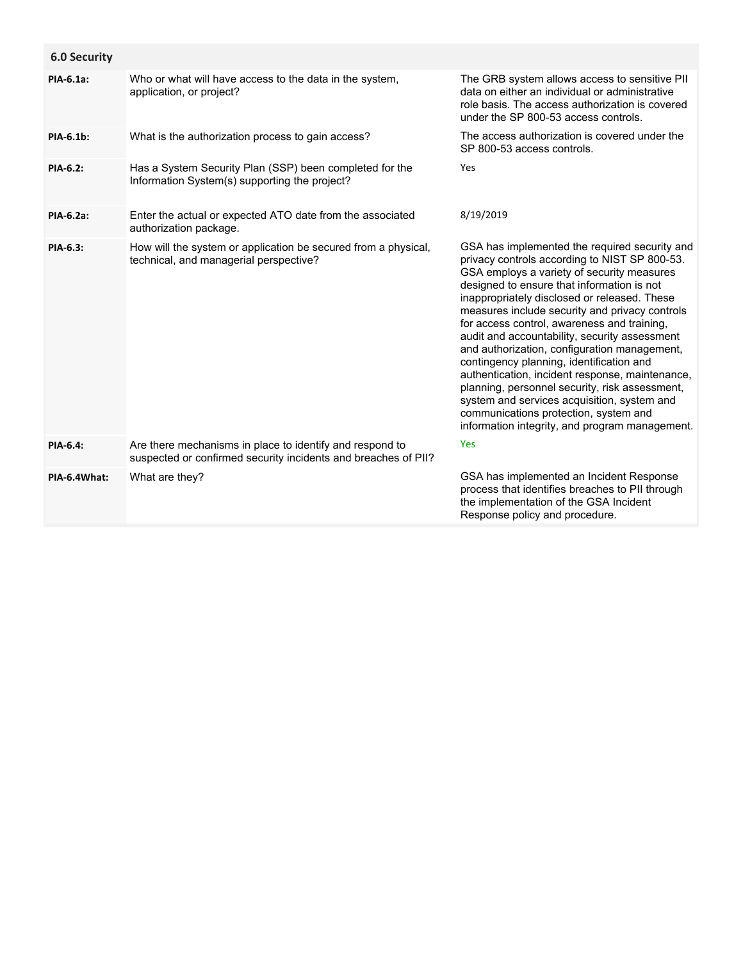| <b>6.0 Security</b> |                                                                                                                            |                                                                                                                                                                                                                                                                                                                                                                                                                                                                                                                                                                                                                                                                                                                                         |
|---------------------|----------------------------------------------------------------------------------------------------------------------------|-----------------------------------------------------------------------------------------------------------------------------------------------------------------------------------------------------------------------------------------------------------------------------------------------------------------------------------------------------------------------------------------------------------------------------------------------------------------------------------------------------------------------------------------------------------------------------------------------------------------------------------------------------------------------------------------------------------------------------------------|
| PIA-6.1a:           | Who or what will have access to the data in the system,<br>application, or project?                                        | The GRB system allows access to sensitive PII<br>data on either an individual or administrative<br>role basis. The access authorization is covered<br>under the SP 800-53 access controls.                                                                                                                                                                                                                                                                                                                                                                                                                                                                                                                                              |
| PIA-6.1b:           | What is the authorization process to gain access?                                                                          | The access authorization is covered under the<br>SP 800-53 access controls.                                                                                                                                                                                                                                                                                                                                                                                                                                                                                                                                                                                                                                                             |
| <b>PIA-6.2:</b>     | Has a System Security Plan (SSP) been completed for the<br>Information System(s) supporting the project?                   | Yes                                                                                                                                                                                                                                                                                                                                                                                                                                                                                                                                                                                                                                                                                                                                     |
| PIA-6.2a:           | Enter the actual or expected ATO date from the associated<br>authorization package.                                        | 8/19/2019                                                                                                                                                                                                                                                                                                                                                                                                                                                                                                                                                                                                                                                                                                                               |
| PIA-6.3:            | How will the system or application be secured from a physical,<br>technical, and managerial perspective?                   | GSA has implemented the required security and<br>privacy controls according to NIST SP 800-53.<br>GSA employs a variety of security measures<br>designed to ensure that information is not<br>inappropriately disclosed or released. These<br>measures include security and privacy controls<br>for access control, awareness and training,<br>audit and accountability, security assessment<br>and authorization, configuration management,<br>contingency planning, identification and<br>authentication, incident response, maintenance,<br>planning, personnel security, risk assessment,<br>system and services acquisition, system and<br>communications protection, system and<br>information integrity, and program management. |
| PIA-6.4:            | Are there mechanisms in place to identify and respond to<br>suspected or confirmed security incidents and breaches of PII? | Yes                                                                                                                                                                                                                                                                                                                                                                                                                                                                                                                                                                                                                                                                                                                                     |
| PIA-6.4What:        | What are they?                                                                                                             | GSA has implemented an Incident Response<br>process that identifies breaches to PII through<br>the implementation of the GSA Incident<br>Response policy and procedure.                                                                                                                                                                                                                                                                                                                                                                                                                                                                                                                                                                 |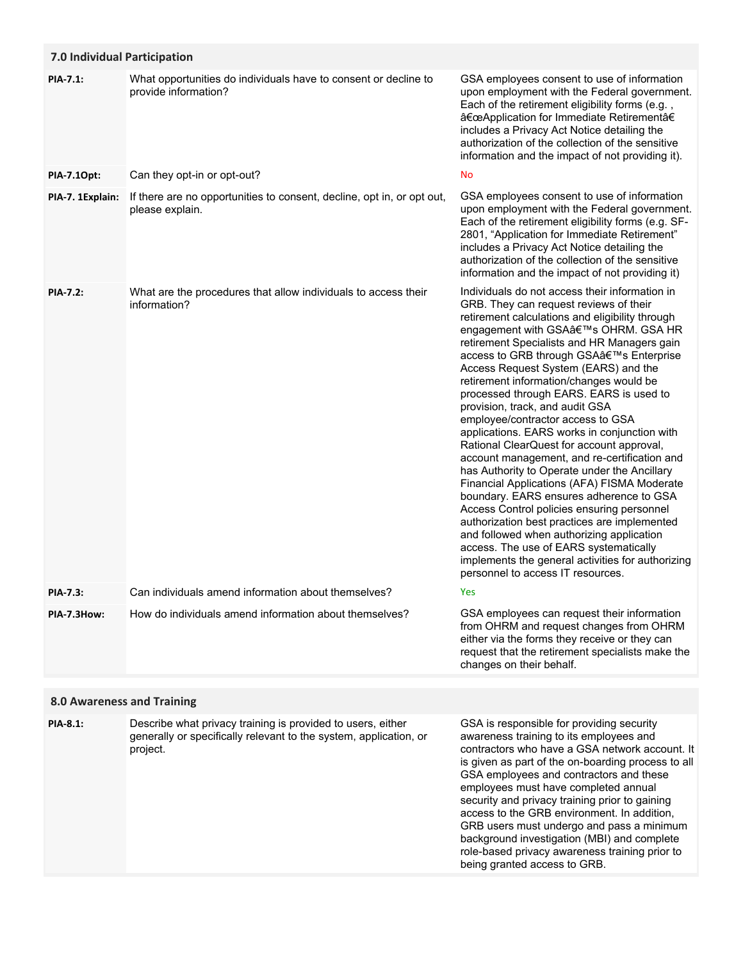| 7.0 Individual Participation |                                                                                                                                              |                                                                                                                                                                                                                                                                                                                                                                                                                                                                                                                                                                                                                                                                                                                                                                                                                                                                                                                                                                                                                                                        |
|------------------------------|----------------------------------------------------------------------------------------------------------------------------------------------|--------------------------------------------------------------------------------------------------------------------------------------------------------------------------------------------------------------------------------------------------------------------------------------------------------------------------------------------------------------------------------------------------------------------------------------------------------------------------------------------------------------------------------------------------------------------------------------------------------------------------------------------------------------------------------------------------------------------------------------------------------------------------------------------------------------------------------------------------------------------------------------------------------------------------------------------------------------------------------------------------------------------------------------------------------|
| <b>PIA-7.1:</b>              | What opportunities do individuals have to consent or decline to<br>provide information?                                                      | GSA employees consent to use of information<br>upon employment with the Federal government.<br>Each of the retirement eligibility forms (e.g.,<br>"Application for Immediate Retirementâ€<br>includes a Privacy Act Notice detailing the<br>authorization of the collection of the sensitive<br>information and the impact of not providing it).                                                                                                                                                                                                                                                                                                                                                                                                                                                                                                                                                                                                                                                                                                       |
| PIA-7.10pt:                  | Can they opt-in or opt-out?                                                                                                                  | No                                                                                                                                                                                                                                                                                                                                                                                                                                                                                                                                                                                                                                                                                                                                                                                                                                                                                                                                                                                                                                                     |
| PIA-7. 1Explain:             | If there are no opportunities to consent, decline, opt in, or opt out,<br>please explain.                                                    | GSA employees consent to use of information<br>upon employment with the Federal government.<br>Each of the retirement eligibility forms (e.g. SF-<br>2801, "Application for Immediate Retirement"<br>includes a Privacy Act Notice detailing the<br>authorization of the collection of the sensitive<br>information and the impact of not providing it)                                                                                                                                                                                                                                                                                                                                                                                                                                                                                                                                                                                                                                                                                                |
| <b>PIA-7.2:</b>              | What are the procedures that allow individuals to access their<br>information?                                                               | Individuals do not access their information in<br>GRB. They can request reviews of their<br>retirement calculations and eligibility through<br>engagement with GSA's OHRM. GSA HR<br>retirement Specialists and HR Managers gain<br>access to GRB through GSA's Enterprise<br>Access Request System (EARS) and the<br>retirement information/changes would be<br>processed through EARS. EARS is used to<br>provision, track, and audit GSA<br>employee/contractor access to GSA<br>applications. EARS works in conjunction with<br>Rational ClearQuest for account approval,<br>account management, and re-certification and<br>has Authority to Operate under the Ancillary<br>Financial Applications (AFA) FISMA Moderate<br>boundary. EARS ensures adherence to GSA<br>Access Control policies ensuring personnel<br>authorization best practices are implemented<br>and followed when authorizing application<br>access. The use of EARS systematically<br>implements the general activities for authorizing<br>personnel to access IT resources. |
| PIA-7.3:                     | Can individuals amend information about themselves?                                                                                          | Yes                                                                                                                                                                                                                                                                                                                                                                                                                                                                                                                                                                                                                                                                                                                                                                                                                                                                                                                                                                                                                                                    |
| PIA-7.3How:                  | How do individuals amend information about themselves?                                                                                       | GSA employees can request their information<br>from OHRM and request changes from OHRM<br>either via the forms they receive or they can<br>request that the retirement specialists make the<br>changes on their behalf.                                                                                                                                                                                                                                                                                                                                                                                                                                                                                                                                                                                                                                                                                                                                                                                                                                |
|                              | <b>8.0 Awareness and Training</b>                                                                                                            |                                                                                                                                                                                                                                                                                                                                                                                                                                                                                                                                                                                                                                                                                                                                                                                                                                                                                                                                                                                                                                                        |
| PIA-8.1:                     | Describe what privacy training is provided to users, either<br>generally or specifically relevant to the system, application, or<br>project. | GSA is responsible for providing security<br>awareness training to its employees and<br>contractors who have a GSA network account. It<br>is given as part of the on-boarding process to all<br>GSA employees and contractors and these<br>employees must have completed annual<br>security and privacy training prior to gaining<br>access to the GRB environment. In addition,<br>GRB users must undergo and pass a minimum<br>background investigation (MBI) and complete<br>role-based privacy awareness training prior to                                                                                                                                                                                                                                                                                                                                                                                                                                                                                                                         |

being granted access to GRB.